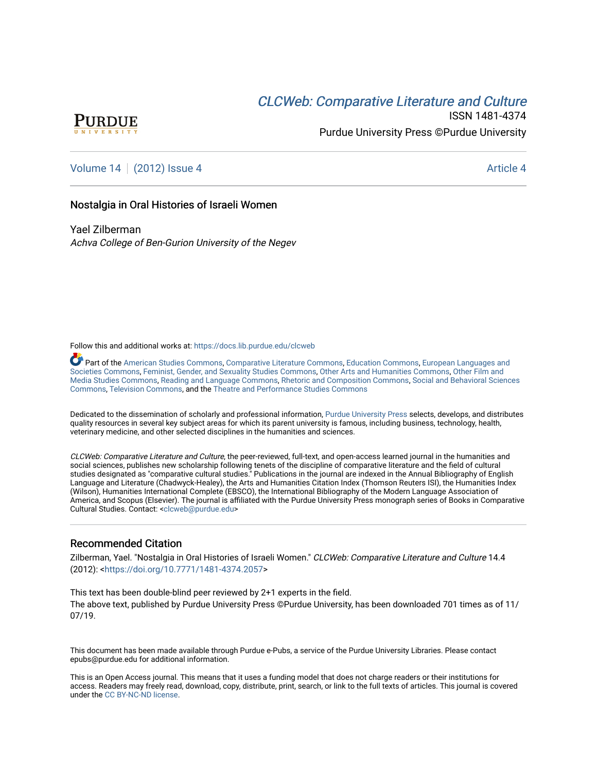# **CLCW[eb: Comparative Liter](https://docs.lib.purdue.edu/clcweb)ature and Culture**



ISSN 1481-4374 Purdue University Press ©Purdue University

## [Volume 14](https://docs.lib.purdue.edu/clcweb/vol14) | [\(2012\) Issue 4](https://docs.lib.purdue.edu/clcweb/vol14/iss4) Article 4

## Nostalgia in Oral Histories of Israeli Women

Yael Zilberman Achva College of Ben-Gurion University of the Negev

Follow this and additional works at: [https://docs.lib.purdue.edu/clcweb](https://docs.lib.purdue.edu/clcweb?utm_source=docs.lib.purdue.edu%2Fclcweb%2Fvol14%2Fiss4%2F4&utm_medium=PDF&utm_campaign=PDFCoverPages)

Part of the [American Studies Commons](http://network.bepress.com/hgg/discipline/439?utm_source=docs.lib.purdue.edu%2Fclcweb%2Fvol14%2Fiss4%2F4&utm_medium=PDF&utm_campaign=PDFCoverPages), [Comparative Literature Commons,](http://network.bepress.com/hgg/discipline/454?utm_source=docs.lib.purdue.edu%2Fclcweb%2Fvol14%2Fiss4%2F4&utm_medium=PDF&utm_campaign=PDFCoverPages) [Education Commons,](http://network.bepress.com/hgg/discipline/784?utm_source=docs.lib.purdue.edu%2Fclcweb%2Fvol14%2Fiss4%2F4&utm_medium=PDF&utm_campaign=PDFCoverPages) [European Languages and](http://network.bepress.com/hgg/discipline/482?utm_source=docs.lib.purdue.edu%2Fclcweb%2Fvol14%2Fiss4%2F4&utm_medium=PDF&utm_campaign=PDFCoverPages) [Societies Commons](http://network.bepress.com/hgg/discipline/482?utm_source=docs.lib.purdue.edu%2Fclcweb%2Fvol14%2Fiss4%2F4&utm_medium=PDF&utm_campaign=PDFCoverPages), [Feminist, Gender, and Sexuality Studies Commons,](http://network.bepress.com/hgg/discipline/559?utm_source=docs.lib.purdue.edu%2Fclcweb%2Fvol14%2Fiss4%2F4&utm_medium=PDF&utm_campaign=PDFCoverPages) [Other Arts and Humanities Commons](http://network.bepress.com/hgg/discipline/577?utm_source=docs.lib.purdue.edu%2Fclcweb%2Fvol14%2Fiss4%2F4&utm_medium=PDF&utm_campaign=PDFCoverPages), [Other Film and](http://network.bepress.com/hgg/discipline/565?utm_source=docs.lib.purdue.edu%2Fclcweb%2Fvol14%2Fiss4%2F4&utm_medium=PDF&utm_campaign=PDFCoverPages)  [Media Studies Commons](http://network.bepress.com/hgg/discipline/565?utm_source=docs.lib.purdue.edu%2Fclcweb%2Fvol14%2Fiss4%2F4&utm_medium=PDF&utm_campaign=PDFCoverPages), [Reading and Language Commons](http://network.bepress.com/hgg/discipline/1037?utm_source=docs.lib.purdue.edu%2Fclcweb%2Fvol14%2Fiss4%2F4&utm_medium=PDF&utm_campaign=PDFCoverPages), [Rhetoric and Composition Commons,](http://network.bepress.com/hgg/discipline/573?utm_source=docs.lib.purdue.edu%2Fclcweb%2Fvol14%2Fiss4%2F4&utm_medium=PDF&utm_campaign=PDFCoverPages) [Social and Behavioral Sciences](http://network.bepress.com/hgg/discipline/316?utm_source=docs.lib.purdue.edu%2Fclcweb%2Fvol14%2Fiss4%2F4&utm_medium=PDF&utm_campaign=PDFCoverPages) [Commons,](http://network.bepress.com/hgg/discipline/316?utm_source=docs.lib.purdue.edu%2Fclcweb%2Fvol14%2Fiss4%2F4&utm_medium=PDF&utm_campaign=PDFCoverPages) [Television Commons,](http://network.bepress.com/hgg/discipline/1143?utm_source=docs.lib.purdue.edu%2Fclcweb%2Fvol14%2Fiss4%2F4&utm_medium=PDF&utm_campaign=PDFCoverPages) and the [Theatre and Performance Studies Commons](http://network.bepress.com/hgg/discipline/552?utm_source=docs.lib.purdue.edu%2Fclcweb%2Fvol14%2Fiss4%2F4&utm_medium=PDF&utm_campaign=PDFCoverPages)

Dedicated to the dissemination of scholarly and professional information, [Purdue University Press](http://www.thepress.purdue.edu/) selects, develops, and distributes quality resources in several key subject areas for which its parent university is famous, including business, technology, health, veterinary medicine, and other selected disciplines in the humanities and sciences.

CLCWeb: Comparative Literature and Culture, the peer-reviewed, full-text, and open-access learned journal in the humanities and social sciences, publishes new scholarship following tenets of the discipline of comparative literature and the field of cultural studies designated as "comparative cultural studies." Publications in the journal are indexed in the Annual Bibliography of English Language and Literature (Chadwyck-Healey), the Arts and Humanities Citation Index (Thomson Reuters ISI), the Humanities Index (Wilson), Humanities International Complete (EBSCO), the International Bibliography of the Modern Language Association of America, and Scopus (Elsevier). The journal is affiliated with the Purdue University Press monograph series of Books in Comparative Cultural Studies. Contact: [<clcweb@purdue.edu](mailto:clcweb@purdue.edu)>

## Recommended Citation

Zilberman, Yael. "Nostalgia in Oral Histories of Israeli Women." CLCWeb: Comparative Literature and Culture 14.4 (2012): [<https://doi.org/10.7771/1481-4374.2057](https://doi.org/10.7771/1481-4374.2057)>

This text has been double-blind peer reviewed by 2+1 experts in the field. The above text, published by Purdue University Press ©Purdue University, has been downloaded 701 times as of 11/ 07/19.

This document has been made available through Purdue e-Pubs, a service of the Purdue University Libraries. Please contact epubs@purdue.edu for additional information.

This is an Open Access journal. This means that it uses a funding model that does not charge readers or their institutions for access. Readers may freely read, download, copy, distribute, print, search, or link to the full texts of articles. This journal is covered under the [CC BY-NC-ND license.](https://creativecommons.org/licenses/by-nc-nd/4.0/)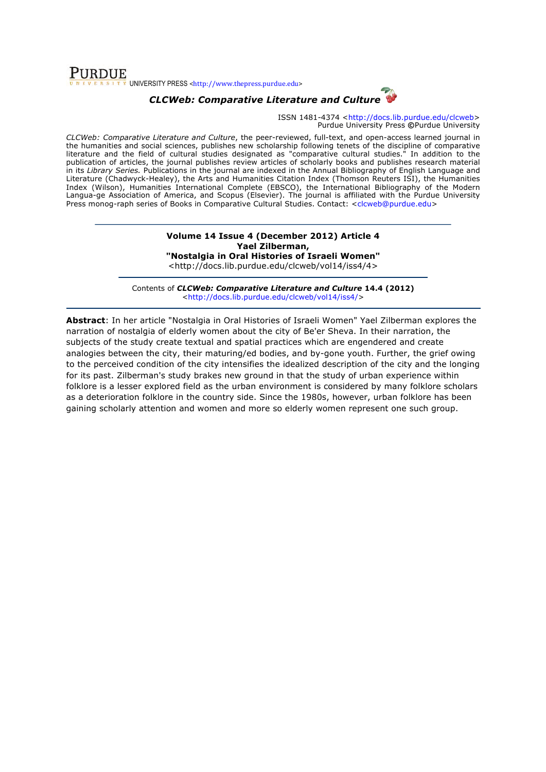**PURDUE** v<br>Village Surversity PRESS <http://www.thepress.purdue.edu>

## *CLCWeb: Comparative Literature and Culture*

ISSN 1481-4374 <http://docs.lib.purdue.edu/clcweb> Purdue University Press **©**Purdue University

*CLCWeb: Comparative Literature and Culture*, the peer-reviewed, full-text, and open-access learned journal in the humanities and social sciences, publishes new scholarship following tenets of the discipline of comparative literature and the field of cultural studies designated as "comparative cultural studies." In addition to the publication of articles, the journal publishes review articles of scholarly books and publishes research material in its *Library Series.* Publications in the journal are indexed in the Annual Bibliography of English Language and Literature (Chadwyck-Healey), the Arts and Humanities Citation Index (Thomson Reuters ISI), the Humanities Index (Wilson), Humanities International Complete (EBSCO), the International Bibliography of the Modern Langua-ge Association of America, and Scopus (Elsevier). The journal is affiliated with the Purdue University Press monog-raph series of Books in Comparative Cultural Studies. Contact: <clcweb@purdue.edu>

## **Volume 14 Issue 4 (December 2012) Article 4 Yael Zilberman, "Nostalgia in Oral Histories of Israeli Women"**

<http://docs.lib.purdue.edu/clcweb/vol14/iss4/4>

Contents of *CLCWeb: Comparative Literature and Culture* **14.4 (2012)** <http://docs.lib.purdue.edu/clcweb/vol14/iss4/>

**Abstract**: In her article "Nostalgia in Oral Histories of Israeli Women" Yael Zilberman explores the narration of nostalgia of elderly women about the city of Be'er Sheva. In their narration, the subjects of the study create textual and spatial practices which are engendered and create analogies between the city, their maturing/ed bodies, and by-gone youth. Further, the grief owing to the perceived condition of the city intensifies the idealized description of the city and the longing for its past. Zilberman's study brakes new ground in that the study of urban experience within folklore is a lesser explored field as the urban environment is considered by many folklore scholars as a deterioration folklore in the country side. Since the 1980s, however, urban folklore has been gaining scholarly attention and women and more so elderly women represent one such group.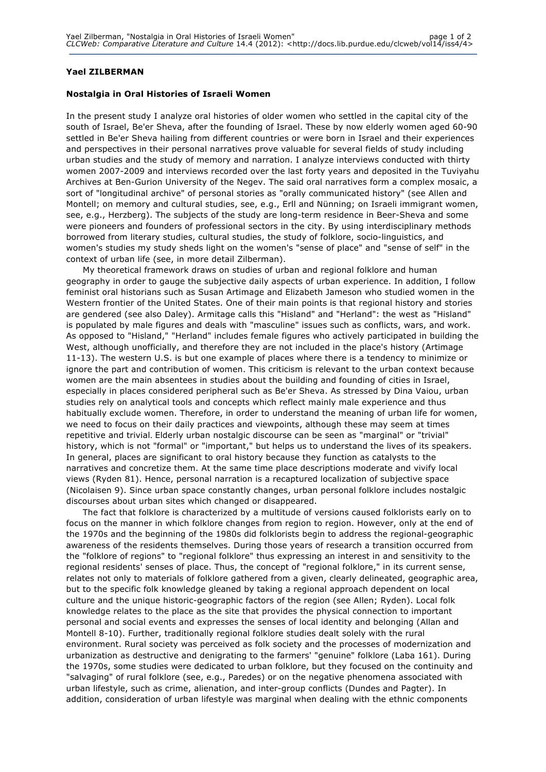## **Yael ZILBERMAN**

#### **Nostalgia in Oral Histories of Israeli Women**

In the present study I analyze oral histories of older women who settled in the capital city of the south of Israel, Be'er Sheva, after the founding of Israel. These by now elderly women aged 60-90 settled in Be'er Sheva hailing from different countries or were born in Israel and their experiences and perspectives in their personal narratives prove valuable for several fields of study including urban studies and the study of memory and narration. I analyze interviews conducted with thirty women 2007-2009 and interviews recorded over the last forty years and deposited in the Tuviyahu Archives at Ben-Gurion University of the Negev. The said oral narratives form a complex mosaic, a sort of "longitudinal archive" of personal stories as "orally communicated history" (see Allen and Montell; on memory and cultural studies, see, e.g., Erll and Nünning; on Israeli immigrant women, see, e.g., Herzberg). The subjects of the study are long-term residence in Beer-Sheva and some were pioneers and founders of professional sectors in the city. By using interdisciplinary methods borrowed from literary studies, cultural studies, the study of folklore, socio-linguistics, and women's studies my study sheds light on the women's "sense of place" and "sense of self" in the context of urban life (see, in more detail Zilberman).

My theoretical framework draws on studies of urban and regional folklore and human geography in order to gauge the subjective daily aspects of urban experience. In addition, I follow feminist oral historians such as Susan Artimage and Elizabeth Jameson who studied women in the Western frontier of the United States. One of their main points is that regional history and stories are gendered (see also Daley). Armitage calls this "Hisland" and "Herland": the west as "Hisland" is populated by male figures and deals with "masculine" issues such as conflicts, wars, and work. As opposed to "Hisland," "Herland" includes female figures who actively participated in building the West, although unofficially, and therefore they are not included in the place's history (Artimage 11-13). The western U.S. is but one example of places where there is a tendency to minimize or ignore the part and contribution of women. This criticism is relevant to the urban context because women are the main absentees in studies about the building and founding of cities in Israel, especially in places considered peripheral such as Be'er Sheva. As stressed by Dina Vaiou, urban studies rely on analytical tools and concepts which reflect mainly male experience and thus habitually exclude women. Therefore, in order to understand the meaning of urban life for women, we need to focus on their daily practices and viewpoints, although these may seem at times repetitive and trivial. Elderly urban nostalgic discourse can be seen as "marginal" or "trivial" history, which is not "formal" or "important," but helps us to understand the lives of its speakers. In general, places are significant to oral history because they function as catalysts to the narratives and concretize them. At the same time place descriptions moderate and vivify local views (Ryden 81). Hence, personal narration is a recaptured localization of subjective space (Nicolaisen 9). Since urban space constantly changes, urban personal folklore includes nostalgic discourses about urban sites which changed or disappeared.

The fact that folklore is characterized by a multitude of versions caused folklorists early on to focus on the manner in which folklore changes from region to region. However, only at the end of the 1970s and the beginning of the 1980s did folklorists begin to address the regional-geographic awareness of the residents themselves. During those years of research a transition occurred from the "folklore of regions" to "regional folklore" thus expressing an interest in and sensitivity to the regional residents' senses of place. Thus, the concept of "regional folklore," in its current sense, relates not only to materials of folklore gathered from a given, clearly delineated, geographic area, but to the specific folk knowledge gleaned by taking a regional approach dependent on local culture and the unique historic-geographic factors of the region (see Allen; Ryden). Local folk knowledge relates to the place as the site that provides the physical connection to important personal and social events and expresses the senses of local identity and belonging (Allan and Montell 8-10). Further, traditionally regional folklore studies dealt solely with the rural environment. Rural society was perceived as folk society and the processes of modernization and urbanization as destructive and denigrating to the farmers' "genuine" folklore (Laba 161). During the 1970s, some studies were dedicated to urban folklore, but they focused on the continuity and "salvaging" of rural folklore (see, e.g., Paredes) or on the negative phenomena associated with urban lifestyle, such as crime, alienation, and inter-group conflicts (Dundes and Pagter). In addition, consideration of urban lifestyle was marginal when dealing with the ethnic components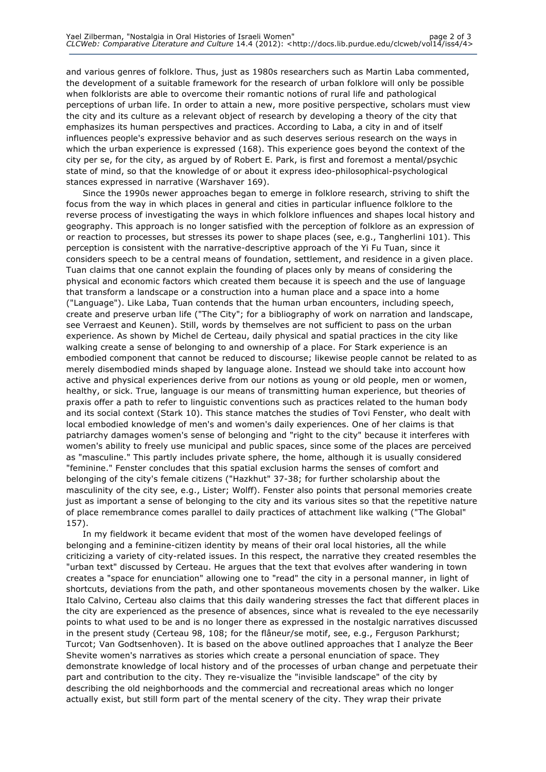and various genres of folklore. Thus, just as 1980s researchers such as Martin Laba commented, the development of a suitable framework for the research of urban folklore will only be possible when folklorists are able to overcome their romantic notions of rural life and pathological perceptions of urban life. In order to attain a new, more positive perspective, scholars must view the city and its culture as a relevant object of research by developing a theory of the city that emphasizes its human perspectives and practices. According to Laba, a city in and of itself influences people's expressive behavior and as such deserves serious research on the ways in which the urban experience is expressed (168). This experience goes beyond the context of the city per se, for the city, as argued by of Robert E. Park, is first and foremost a mental/psychic state of mind, so that the knowledge of or about it express ideo-philosophical-psychological stances expressed in narrative (Warshaver 169).

Since the 1990s newer approaches began to emerge in folklore research, striving to shift the focus from the way in which places in general and cities in particular influence folklore to the reverse process of investigating the ways in which folklore influences and shapes local history and geography. This approach is no longer satisfied with the perception of folklore as an expression of or reaction to processes, but stresses its power to shape places (see, e.g., Tangherlini 101). This perception is consistent with the narrative-descriptive approach of the Yi Fu Tuan, since it considers speech to be a central means of foundation, settlement, and residence in a given place. Tuan claims that one cannot explain the founding of places only by means of considering the physical and economic factors which created them because it is speech and the use of language that transform a landscape or a construction into a human place and a space into a home ("Language"). Like Laba, Tuan contends that the human urban encounters, including speech, create and preserve urban life ("The City"; for a bibliography of work on narration and landscape, see Verraest and Keunen). Still, words by themselves are not sufficient to pass on the urban experience. As shown by Michel de Certeau, daily physical and spatial practices in the city like walking create a sense of belonging to and ownership of a place. For Stark experience is an embodied component that cannot be reduced to discourse; likewise people cannot be related to as merely disembodied minds shaped by language alone. Instead we should take into account how active and physical experiences derive from our notions as young or old people, men or women, healthy, or sick. True, language is our means of transmitting human experience, but theories of praxis offer a path to refer to linguistic conventions such as practices related to the human body and its social context (Stark 10). This stance matches the studies of Tovi Fenster, who dealt with local embodied knowledge of men's and women's daily experiences. One of her claims is that patriarchy damages women's sense of belonging and "right to the city" because it interferes with women's ability to freely use municipal and public spaces, since some of the places are perceived as "masculine." This partly includes private sphere, the home, although it is usually considered "feminine." Fenster concludes that this spatial exclusion harms the senses of comfort and belonging of the city's female citizens ("Hazkhut" 37-38; for further scholarship about the masculinity of the city see, e.g., Lister; Wolff). Fenster also points that personal memories create just as important a sense of belonging to the city and its various sites so that the repetitive nature of place remembrance comes parallel to daily practices of attachment like walking ("The Global" 157).

In my fieldwork it became evident that most of the women have developed feelings of belonging and a feminine-citizen identity by means of their oral local histories, all the while criticizing a variety of city-related issues. In this respect, the narrative they created resembles the "urban text" discussed by Certeau. He argues that the text that evolves after wandering in town creates a "space for enunciation" allowing one to "read" the city in a personal manner, in light of shortcuts, deviations from the path, and other spontaneous movements chosen by the walker. Like Italo Calvino, Certeau also claims that this daily wandering stresses the fact that different places in the city are experienced as the presence of absences, since what is revealed to the eye necessarily points to what used to be and is no longer there as expressed in the nostalgic narratives discussed in the present study (Certeau 98, 108; for the flâneur/se motif, see, e.g., Ferguson Parkhurst; Turcot; Van Godtsenhoven). It is based on the above outlined approaches that I analyze the Beer Shevite women's narratives as stories which create a personal enunciation of space. They demonstrate knowledge of local history and of the processes of urban change and perpetuate their part and contribution to the city. They re-visualize the "invisible landscape" of the city by describing the old neighborhoods and the commercial and recreational areas which no longer actually exist, but still form part of the mental scenery of the city. They wrap their private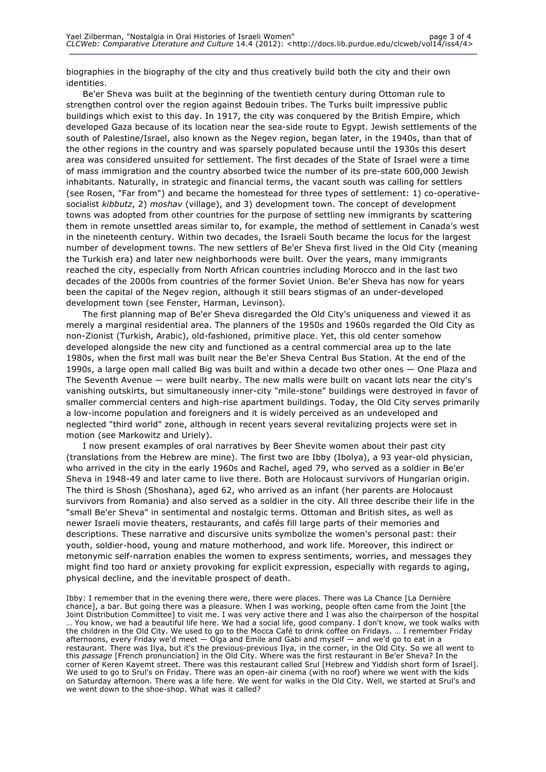biographies in the biography of the city and thus creatively build both the city and their own identities.

Be'er Sheva was built at the beginning of the twentieth century during Ottoman rule to strengthen control over the region against Bedouin tribes. The Turks built impressive public buildings which exist to this day. In 1917, the city was conquered by the British Empire, which developed Gaza because of its location near the sea-side route to Egypt. Jewish settlements of the south of Palestine/Israel, also known as the Negev region, began later, in the 1940s, than that of the other regions in the country and was sparsely populated because until the 1930s this desert area was considered unsuited for settlement. The first decades of the State of Israel were a time of mass immigration and the country absorbed twice the number of its pre-state 600,000 Jewish inhabitants. Naturally, in strategic and financial terms, the vacant south was calling for settlers (see Rosen, "Far from") and became the homestead for three types of settlement: 1) co-operativesocialist *kibbutz*, 2) *moshav* (village), and 3) development town. The concept of development towns was adopted from other countries for the purpose of settling new immigrants by scattering them in remote unsettled areas similar to, for example, the method of settlement in Canada's west in the nineteenth century. Within two decades, the Israeli South became the locus for the largest number of development towns. The new settlers of Be'er Sheva first lived in the Old City (meaning the Turkish era) and later new neighborhoods were built. Over the years, many immigrants reached the city, especially from North African countries including Morocco and in the last two decades of the 2000s from countries of the former Soviet Union. Be'er Sheva has now for years been the capital of the Negev region, although it still bears stigmas of an under-developed development town (see Fenster, Harman, Levinson).

The first planning map of Be'er Sheva disregarded the Old City's uniqueness and viewed it as merely a marginal residential area. The planners of the 1950s and 1960s regarded the Old City as non-Zionist (Turkish, Arabic), old-fashioned, primitive place. Yet, this old center somehow developed alongside the new city and functioned as a central commercial area up to the late 1980s, when the first mall was built near the Be'er Sheva Central Bus Station. At the end of the 1990s, a large open mall called Big was built and within a decade two other ones — One Plaza and The Seventh Avenue — were built nearby. The new malls were built on vacant lots near the city's vanishing outskirts, but simultaneously inner-city "mile-stone" buildings were destroyed in favor of smaller commercial centers and high-rise apartment buildings. Today, the Old City serves primarily a low-income population and foreigners and it is widely perceived as an undeveloped and neglected "third world" zone, although in recent years several revitalizing projects were set in motion (see Markowitz and Uriely).

I now present examples of oral narratives by Beer Shevite women about their past city (translations from the Hebrew are mine). The first two are Ibby (Ibolya), a 93 year-old physician, who arrived in the city in the early 1960s and Rachel, aged 79, who served as a soldier in Be'er Sheva in 1948-49 and later came to live there. Both are Holocaust survivors of Hungarian origin. The third is Shosh (Shoshana), aged 62, who arrived as an infant (her parents are Holocaust survivors from Romania) and also served as a soldier in the city. All three describe their life in the "small Be'er Sheva" in sentimental and nostalgic terms. Ottoman and British sites, as well as newer Israeli movie theaters, restaurants, and cafés fill large parts of their memories and descriptions. These narrative and discursive units symbolize the women's personal past: their youth, soldier-hood, young and mature motherhood, and work life. Moreover, this indirect or metonymic self-narration enables the women to express sentiments, worries, and messages they might find too hard or anxiety provoking for explicit expression, especially with regards to aging, physical decline, and the inevitable prospect of death.

Ibby: I remember that in the evening there were, there were places. There was La Chance [La Dernière chance], a bar. But going there was a pleasure. When I was working, people often came from the Joint [the Joint Distribution Committee] to visit me. I was very active there and I was also the chairperson of the hospital … You know, we had a beautiful life here. We had a social life, good company. I don't know, we took walks with the children in the Old City. We used to go to the Mocca Café to drink coffee on Fridays. … I remember Friday afternoons, every Friday we'd meet — Olga and Emile and Gabi and myself — and we'd go to eat in a restaurant. There was Ilya, but it's the previous-previous Ilya, in the corner, in the Old City. So we all went to this *passage* [French pronunciation] in the Old City. Where was the first restaurant in Be'er Sheva? In the corner of Keren Kayemt street. There was this restaurant called Srul [Hebrew and Yiddish short form of Israel]. We used to go to Srul's on Friday. There was an open-air cinema (with no roof) where we went with the kids on Saturday afternoon. There was a life here. We went for walks in the Old City. Well, we started at Srul's and we went down to the shoe-shop. What was it called?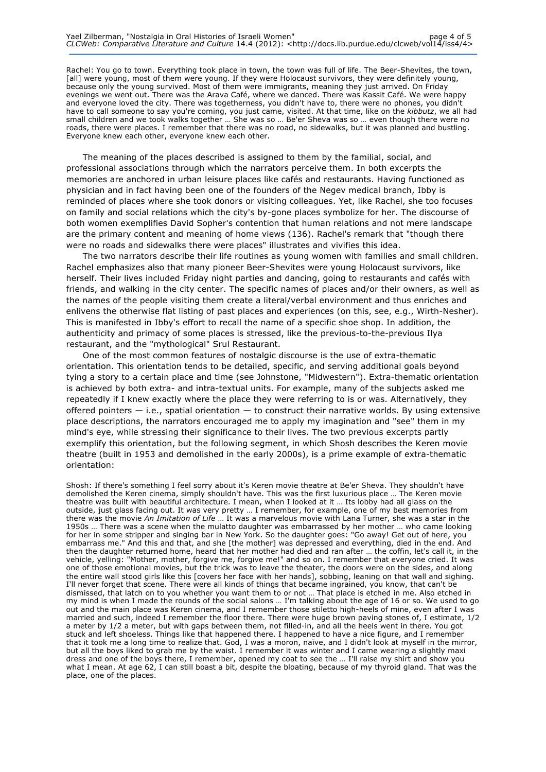Rachel: You go to town. Everything took place in town, the town was full of life. The Beer-Shevites, the town, [all] were young, most of them were young. If they were Holocaust survivors, they were definitely young, because only the young survived. Most of them were immigrants, meaning they just arrived. On Friday evenings we went out. There was the Arava Café, where we danced. There was Kassit Café. We were happy and everyone loved the city. There was togetherness, you didn't have to, there were no phones, you didn't have to call someone to say you're coming, you just came, visited. At that time, like on the *kibbutz*, we all had small children and we took walks together … She was so … Be'er Sheva was so … even though there were no roads, there were places. I remember that there was no road, no sidewalks, but it was planned and bustling. Everyone knew each other, everyone knew each other.

The meaning of the places described is assigned to them by the familial, social, and professional associations through which the narrators perceive them. In both excerpts the memories are anchored in urban leisure places like cafés and restaurants. Having functioned as physician and in fact having been one of the founders of the Negev medical branch, Ibby is reminded of places where she took donors or visiting colleagues. Yet, like Rachel, she too focuses on family and social relations which the city's by-gone places symbolize for her. The discourse of both women exemplifies David Sopher's contention that human relations and not mere landscape are the primary content and meaning of home views (136). Rachel's remark that "though there were no roads and sidewalks there were places" illustrates and vivifies this idea.

The two narrators describe their life routines as young women with families and small children. Rachel emphasizes also that many pioneer Beer-Shevites were young Holocaust survivors, like herself. Their lives included Friday night parties and dancing, going to restaurants and cafés with friends, and walking in the city center. The specific names of places and/or their owners, as well as the names of the people visiting them create a literal/verbal environment and thus enriches and enlivens the otherwise flat listing of past places and experiences (on this, see, e.g., Wirth-Nesher). This is manifested in Ibby's effort to recall the name of a specific shoe shop. In addition, the authenticity and primacy of some places is stressed, like the previous-to-the-previous Ilya restaurant, and the "mythological" Srul Restaurant.

One of the most common features of nostalgic discourse is the use of extra-thematic orientation. This orientation tends to be detailed, specific, and serving additional goals beyond tying a story to a certain place and time (see Johnstone, "Midwestern"). Extra-thematic orientation is achieved by both extra- and intra-textual units. For example, many of the subjects asked me repeatedly if I knew exactly where the place they were referring to is or was. Alternatively, they offered pointers — i.e., spatial orientation — to construct their narrative worlds. By using extensive place descriptions, the narrators encouraged me to apply my imagination and "see" them in my mind's eye, while stressing their significance to their lives. The two previous excerpts partly exemplify this orientation, but the following segment, in which Shosh describes the Keren movie theatre (built in 1953 and demolished in the early 2000s), is a prime example of extra-thematic orientation:

Shosh: If there's something I feel sorry about it's Keren movie theatre at Be'er Sheva. They shouldn't have demolished the Keren cinema, simply shouldn't have. This was the first luxurious place … The Keren movie theatre was built with beautiful architecture. I mean, when I looked at it … Its lobby had all glass on the outside, just glass facing out. It was very pretty … I remember, for example, one of my best memories from there was the movie *An Imitation of Life* … It was a marvelous movie with Lana Turner, she was a star in the 1950s … There was a scene when the mulatto daughter was embarrassed by her mother … who came looking for her in some stripper and singing bar in New York. So the daughter goes: "Go away! Get out of here, you embarrass me." And this and that, and she [the mother] was depressed and everything, died in the end. And then the daughter returned home, heard that her mother had died and ran after … the coffin, let's call it, in the vehicle, yelling: "Mother, mother, forgive me, forgive me!" and so on. I remember that everyone cried. It was one of those emotional movies, but the trick was to leave the theater, the doors were on the sides, and along the entire wall stood girls like this [covers her face with her hands], sobbing, leaning on that wall and sighing. I'll never forget that scene. There were all kinds of things that became ingrained, you know, that can't be dismissed, that latch on to you whether you want them to or not … That place is etched in me. Also etched in my mind is when I made the rounds of the social salons … I'm talking about the age of 16 or so. We used to go out and the main place was Keren cinema, and I remember those stiletto high-heels of mine, even after I was married and such, indeed I remember the floor there. There were huge brown paving stones of, I estimate, 1/2 a meter by 1/2 a meter, but with gaps between them, not filled-in, and all the heels went in there. You got stuck and left shoeless. Things like that happened there. I happened to have a nice figure, and I remember that it took me a long time to realize that. God, I was a moron, naïve, and I didn't look at myself in the mirror, but all the boys liked to grab me by the waist. I remember it was winter and I came wearing a slightly maxi dress and one of the boys there, I remember, opened my coat to see the … I'll raise my shirt and show you what I mean. At age 62, I can still boast a bit, despite the bloating, because of my thyroid gland. That was the place, one of the places.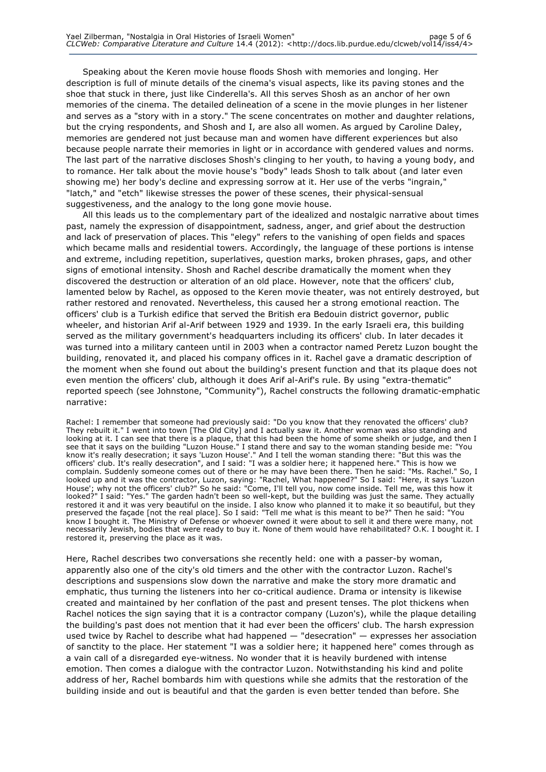Speaking about the Keren movie house floods Shosh with memories and longing. Her description is full of minute details of the cinema's visual aspects, like its paving stones and the shoe that stuck in there, just like Cinderella's. All this serves Shosh as an anchor of her own memories of the cinema. The detailed delineation of a scene in the movie plunges in her listener and serves as a "story with in a story." The scene concentrates on mother and daughter relations, but the crying respondents, and Shosh and I, are also all women. As argued by Caroline Daley, memories are gendered not just because man and women have different experiences but also because people narrate their memories in light or in accordance with gendered values and norms. The last part of the narrative discloses Shosh's clinging to her youth, to having a young body, and to romance. Her talk about the movie house's "body" leads Shosh to talk about (and later even showing me) her body's decline and expressing sorrow at it. Her use of the verbs "ingrain," "latch," and "etch" likewise stresses the power of these scenes, their physical-sensual suggestiveness, and the analogy to the long gone movie house.

All this leads us to the complementary part of the idealized and nostalgic narrative about times past, namely the expression of disappointment, sadness, anger, and grief about the destruction and lack of preservation of places. This "elegy" refers to the vanishing of open fields and spaces which became malls and residential towers. Accordingly, the language of these portions is intense and extreme, including repetition, superlatives, question marks, broken phrases, gaps, and other signs of emotional intensity. Shosh and Rachel describe dramatically the moment when they discovered the destruction or alteration of an old place. However, note that the officers' club, lamented below by Rachel, as opposed to the Keren movie theater, was not entirely destroyed, but rather restored and renovated. Nevertheless, this caused her a strong emotional reaction. The officers' club is a Turkish edifice that served the British era Bedouin district governor, public wheeler, and historian Arif al-Arif between 1929 and 1939. In the early Israeli era, this building served as the military government's headquarters including its officers' club. In later decades it was turned into a military canteen until in 2003 when a contractor named Peretz Luzon bought the building, renovated it, and placed his company offices in it. Rachel gave a dramatic description of the moment when she found out about the building's present function and that its plaque does not even mention the officers' club, although it does Arif al-Arif's rule. By using "extra-thematic" reported speech (see Johnstone, "Community"), Rachel constructs the following dramatic-emphatic narrative:

Rachel: I remember that someone had previously said: "Do you know that they renovated the officers' club? They rebuilt it." I went into town [The Old City] and I actually saw it. Another woman was also standing and looking at it. I can see that there is a plaque, that this had been the home of some sheikh or judge, and then I see that it says on the building "Luzon House." I stand there and say to the woman standing beside me: "You know it's really desecration; it says 'Luzon House'." And I tell the woman standing there: "But this was the officers' club. It's really desecration", and I said: "I was a soldier here; it happened here." This is how we complain. Suddenly someone comes out of there or he may have been there. Then he said: "Ms. Rachel." So, I looked up and it was the contractor, Luzon, saying: "Rachel, What happened?" So I said: "Here, it says 'Luzon House'; why not the officers' club?" So he said: "Come, I'll tell you, now come inside. Tell me, was this how it looked?" I said: "Yes." The garden hadn't been so well-kept, but the building was just the same. They actually restored it and it was very beautiful on the inside. I also know who planned it to make it so beautiful, but they preserved the façade [not the real place]. So I said: "Tell me what is this meant to be?" Then he said: "You know I bought it. The Ministry of Defense or whoever owned it were about to sell it and there were many, not necessarily Jewish, bodies that were ready to buy it. None of them would have rehabilitated? O.K. I bought it. I restored it, preserving the place as it was.

Here, Rachel describes two conversations she recently held: one with a passer-by woman, apparently also one of the city's old timers and the other with the contractor Luzon. Rachel's descriptions and suspensions slow down the narrative and make the story more dramatic and emphatic, thus turning the listeners into her co-critical audience. Drama or intensity is likewise created and maintained by her conflation of the past and present tenses. The plot thickens when Rachel notices the sign saying that it is a contractor company (Luzon's), while the plaque detailing the building's past does not mention that it had ever been the officers' club. The harsh expression used twice by Rachel to describe what had happened — "desecration" — expresses her association of sanctity to the place. Her statement "I was a soldier here; it happened here" comes through as a vain call of a disregarded eye-witness. No wonder that it is heavily burdened with intense emotion. Then comes a dialogue with the contractor Luzon. Notwithstanding his kind and polite address of her, Rachel bombards him with questions while she admits that the restoration of the building inside and out is beautiful and that the garden is even better tended than before. She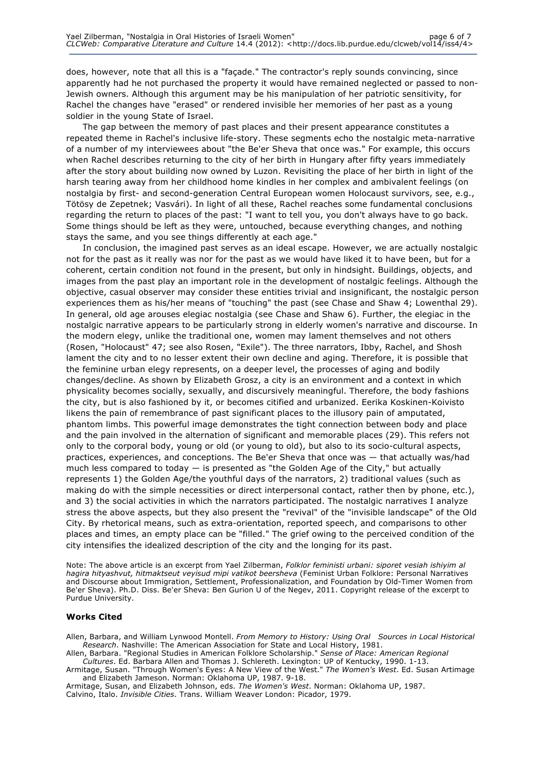does, however, note that all this is a "façade." The contractor's reply sounds convincing, since apparently had he not purchased the property it would have remained neglected or passed to non-Jewish owners. Although this argument may be his manipulation of her patriotic sensitivity, for Rachel the changes have "erased" or rendered invisible her memories of her past as a young soldier in the young State of Israel.

The gap between the memory of past places and their present appearance constitutes a repeated theme in Rachel's inclusive life-story. These segments echo the nostalgic meta-narrative of a number of my interviewees about "the Be'er Sheva that once was." For example, this occurs when Rachel describes returning to the city of her birth in Hungary after fifty years immediately after the story about building now owned by Luzon. Revisiting the place of her birth in light of the harsh tearing away from her childhood home kindles in her complex and ambivalent feelings (on nostalgia by first- and second-generation Central European women Holocaust survivors, see, e.g., Tötösy de Zepetnek; Vasvári). In light of all these, Rachel reaches some fundamental conclusions regarding the return to places of the past: "I want to tell you, you don't always have to go back. Some things should be left as they were, untouched, because everything changes, and nothing stays the same, and you see things differently at each age."

In conclusion, the imagined past serves as an ideal escape. However, we are actually nostalgic not for the past as it really was nor for the past as we would have liked it to have been, but for a coherent, certain condition not found in the present, but only in hindsight. Buildings, objects, and images from the past play an important role in the development of nostalgic feelings. Although the objective, casual observer may consider these entities trivial and insignificant, the nostalgic person experiences them as his/her means of "touching" the past (see Chase and Shaw 4; Lowenthal 29). In general, old age arouses elegiac nostalgia (see Chase and Shaw 6). Further, the elegiac in the nostalgic narrative appears to be particularly strong in elderly women's narrative and discourse. In the modern elegy, unlike the traditional one, women may lament themselves and not others (Rosen, "Holocaust" 47; see also Rosen, "Exile"). The three narrators, Ibby, Rachel, and Shosh lament the city and to no lesser extent their own decline and aging. Therefore, it is possible that the feminine urban elegy represents, on a deeper level, the processes of aging and bodily changes/decline. As shown by Elizabeth Grosz, a city is an environment and a context in which physicality becomes socially, sexually, and discursively meaningful. Therefore, the body fashions the city, but is also fashioned by it, or becomes citified and urbanized. Eerika Koskinen-Koivisto likens the pain of remembrance of past significant places to the illusory pain of amputated, phantom limbs. This powerful image demonstrates the tight connection between body and place and the pain involved in the alternation of significant and memorable places (29). This refers not only to the corporal body, young or old (or young to old), but also to its socio-cultural aspects, practices, experiences, and conceptions. The Be'er Sheva that once was — that actually was/had much less compared to today  $-$  is presented as "the Golden Age of the City," but actually represents 1) the Golden Age/the youthful days of the narrators, 2) traditional values (such as making do with the simple necessities or direct interpersonal contact, rather then by phone, etc.), and 3) the social activities in which the narrators participated. The nostalgic narratives I analyze stress the above aspects, but they also present the "revival" of the "invisible landscape" of the Old City. By rhetorical means, such as extra-orientation, reported speech, and comparisons to other places and times, an empty place can be "filled." The grief owing to the perceived condition of the city intensifies the idealized description of the city and the longing for its past.

Note: The above article is an excerpt from Yael Zilberman, *Folklor feministi urbani: siporet vesiah ishiyim al hagira hityashvut, hitmaktseut veyisud mipi vatikot beersheva* (Feminist Urban Folklore: Personal Narratives and Discourse about Immigration, Settlement, Professionalization, and Foundation by Old-Timer Women from Be'er Sheva). Ph.D. Diss. Be'er Sheva: Ben Gurion U of the Negev, 2011. Copyright release of the excerpt to Purdue University.

#### **Works Cited**

Allen, Barbara, and William Lynwood Montell. *From Memory to History: Using Oral Sources in Local Historical Research*. Nashville: The American Association for State and Local History, 1981.

Allen, Barbara. "Regional Studies in American Folklore Scholarship." *Sense of Place: American Regional Cultures*. Ed. Barbara Allen and Thomas J. Schlereth. Lexington: UP of Kentucky, 1990. 1-13.

Armitage, Susan. "Through Women's Eyes: A New View of the West." *The Women's West*. Ed. Susan Artimage and Elizabeth Jameson. Norman: Oklahoma UP, 1987. 9-18.

Armitage, Susan, and Elizabeth Johnson, eds. *The Women's West*. Norman: Oklahoma UP, 1987. Calvino, Italo. *Invisible Cities*. Trans. William Weaver London: Picador, 1979.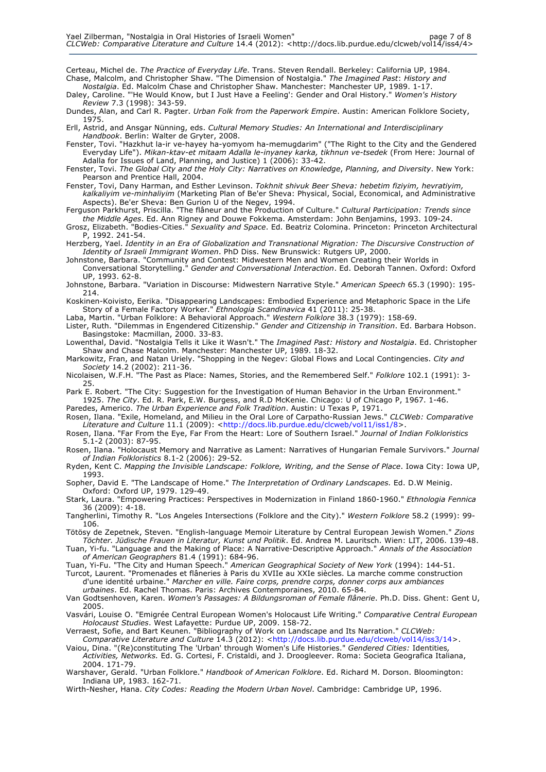Certeau, Michel de. *The Practice of Everyday Life*. Trans. Steven Rendall. Berkeley: California UP, 1984. Chase, Malcolm, and Christopher Shaw. "The Dimension of Nostalgia." *The Imagined Past*: *History and Nostalgia*. Ed. Malcolm Chase and Christopher Shaw. Manchester: Manchester UP, 1989. 1-17.

Daley, Caroline. "'He Would Know, but I Just Have a Feeling': Gender and Oral History." *Women's History Review* 7.3 (1998): 343-59.

Dundes, Alan, and Carl R. Pagter. *Urban Folk from the Paperwork Empire*. Austin: American Folklore Society, 1975.

Erll, Astrid, and Ansgar Nünning, eds. *Cultural Memory Studies: An International and Interdisciplinary Handbook*. Berlin: Walter de Gryter, 2008.

Fenster, Tovi. "Hazkhut la-ir ve-hayey ha-yomyom ha-memugdarim" ("The Right to the City and the Gendered Everyday Life"). *Mikan-ktav-et mitaam Adalla le-inyaney karka, tikhnun ve-tsedek* (From Here: Journal of Adalla for Issues of Land, Planning, and Justice) 1 (2006): 33-42.

Fenster, Tovi. *The Global City and the Holy City: Narratives on Knowledge*, *Planning, and Diversity*. New York: Pearson and Prentice Hall, 2004.

Fenster, Tovi, Dany Harman, and Esther Levinson. *Tokhnit shivuk Beer Sheva: hebetim fiziyim, hevratiyim, kalkaliyim ve-minhaliyim* (Marketing Plan of Be'er Sheva: Physical, Social, Economical, and Administrative Aspects). Be'er Sheva: Ben Gurion U of the Negev, 1994.

Ferguson Parkhurst, Priscilla. "The flâneur and the Production of Culture." *Cultural Participation: Trends since the Middle Ages*. Ed. Ann Rigney and Douwe Fokkema. Amsterdam: John Benjamins, 1993. 109-24.

Grosz, Elizabeth. "Bodies-Cities." *Sexuality and Space*. Ed. Beatriz Colomina. Princeton: Princeton Architectural P, 1992. 241-54.

Herzberg, Yael. *Identity in an Era of Globalization and Transnational Migration: The Discursive Construction of Identity of Israeli Immigrant Women*. PhD Diss. New Brunswick: Rutgers UP, 2000.

Johnstone, Barbara. "Community and Contest: Midwestern Men and Women Creating their Worlds in Conversational Storytelling." *Gender and Conversational Interaction*. Ed. Deborah Tannen. Oxford: Oxford UP, 1993. 62-8.

Johnstone, Barbara. "Variation in Discourse: Midwestern Narrative Style." *American Speech* 65.3 (1990): 195- 214.

Koskinen-Koivisto, Eerika. "Disappearing Landscapes: Embodied Experience and Metaphoric Space in the Life Story of a Female Factory Worker." *Ethnologia Scandinavica* 41 (2011): 25-38.

Laba, Martin. "Urban Folklore: A Behavioral Approach." *Western Folklore* 38.3 (1979): 158-69.

Lister, Ruth. "Dilemmas in Engendered Citizenship." *Gender and Citizenship in Transition*. Ed. Barbara Hobson. Basingstoke: Macmillan, 2000. 33-83.

Lowenthal, David. "Nostalgia Tells it Like it Wasn't." The *Imagined Past: History and Nostalgia*. Ed. Christopher Shaw and Chase Malcolm. Manchester: Manchester UP, 1989. 18-32.

Markowitz, Fran, and Natan Uriely. "Shopping in the Negev: Global Flows and Local Contingencies. *City and Society* 14.2 (2002): 211-36.

Nicolaisen, W.F.H. "The Past as Place: Names, Stories, and the Remembered Self." *Folklore* 102.1 (1991): 3- 25.

Park E. Robert. "The City: Suggestion for the Investigation of Human Behavior in the Urban Environment." 1925. *The City*. Ed. R. Park, E.W. Burgess, and R.D McKenie. Chicago: U of Chicago P, 1967. 1-46.

Paredes, Americo. *The Urban Experience and Folk Tradition*. Austin: U Texas P, 1971. Rosen, Ilana. "Exile, Homeland, and Milieu in the Oral Lore of Carpatho-Russian Jews." *CLCWeb: Comparative* 

*Literature and Culture* 11.1 (2009): <http://docs.lib.purdue.edu/clcweb/vol11/iss1/8>. Rosen, Ilana. "Far From the Eye, Far From the Heart: Lore of Southern Israel." *Journal of Indian Folkloristics*

5.1-2 (2003): 87-95. Rosen, Ilana. "Holocaust Memory and Narrative as Lament: Narratives of Hungarian Female Survivors." *Journal of Indian Folkloristics* 8.1-2 (2006): 29-52.

Ryden, Kent C. *Mapping the Invisible Landscape: Folklore, Writing, and the Sense of Place*. Iowa City: Iowa UP, 1993.

Sopher, David E. "The Landscape of Home." *The Interpretation of Ordinary Landscapes.* Ed. D.W Meinig. Oxford: Oxford UP, 1979. 129-49.

Stark, Laura. "Empowering Practices: Perspectives in Modernization in Finland 1860-1960." *Ethnologia Fennica*  36 (2009): 4-18.

Tangherlini, Timothy R. "Los Angeles Intersections (Folklore and the City)." *Western Folklore* 58.2 (1999): 99- 106.

Tötösy de Zepetnek, Steven. "English-language Memoir Literature by Central European Jewish Women." *Zions Töchter. Jüdische Frauen in Literatur, Kunst und Politik*. Ed. Andrea M. Lauritsch. Wien: LIT, 2006. 139-48.

Tuan, Yi-fu. "Language and the Making of Place: A Narrative-Descriptive Approach." *Annals of the Association of American Geographers* 81.4 (1991): 684-96.

Tuan, Yi-Fu. "The City and Human Speech." *American Geographical Society of New York* (1994): 144-51.

Turcot, Laurent. "Promenades et flâneries à Paris du XVIIe au XXIe siècles. La marche comme construction d'une identité urbaine." *Marcher en ville. Faire corps, prendre corps, donner corps aux ambiances urbaines*. Ed. Rachel Thomas. Paris: Archives Contemporaines, 2010. 65-84.

Van Godtsenhoven, Karen. *Women's Passages: A Bildungsroman of Female flânerie*. Ph.D. Diss. Ghent: Gent U, 2005.

Vasvári, Louise O. "Emigrée Central European Women's Holocaust Life Writing." *Comparative Central European Holocaust Studies*. West Lafayette: Purdue UP, 2009. 158-72.

Verraest, Sofie, and Bart Keunen. "Bibliography of Work on Landscape and Its Narration." *CLCWeb: Comparative Literature and Culture* 14.3 (2012): <http://docs.lib.purdue.edu/clcweb/vol14/iss3/14>.

Vaiou, Dina. "(Re)constituting The 'Urban' through Women's Life Histories." *Gendered Cities:* Identities*, Activities, Networks.* Ed. G. Cortesi, F. Cristaldi, and J. Droogleever. Roma: Societa Geografica Italiana, 2004. 171-79.

Warshaver, Gerald. "Urban Folklore." *Handbook of American Folklore*. Ed. Richard M. Dorson. Bloomington: Indiana UP, 1983. 162-71.

Wirth-Nesher, Hana. *City Codes: Reading the Modern Urban Novel*. Cambridge: Cambridge UP, 1996.